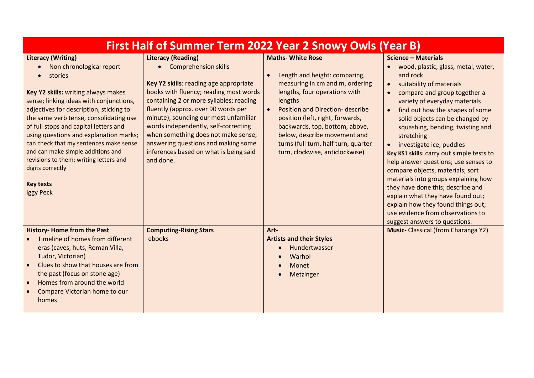| First Half of Summer Term 2022 Year 2 Snowy Owls (Year B)                                                                                                                                                                                                                                                                                                                                                                                                                                                |                                                                                                                                                                                                                                                                                                                                                                                                                                                 |                                                                                                                                                                                                                                                                                                                                                                            |                                                                                                                                                                                                                                                                                                                                                                                                                                                                                                                                                                                                                                                                                                                                                        |  |
|----------------------------------------------------------------------------------------------------------------------------------------------------------------------------------------------------------------------------------------------------------------------------------------------------------------------------------------------------------------------------------------------------------------------------------------------------------------------------------------------------------|-------------------------------------------------------------------------------------------------------------------------------------------------------------------------------------------------------------------------------------------------------------------------------------------------------------------------------------------------------------------------------------------------------------------------------------------------|----------------------------------------------------------------------------------------------------------------------------------------------------------------------------------------------------------------------------------------------------------------------------------------------------------------------------------------------------------------------------|--------------------------------------------------------------------------------------------------------------------------------------------------------------------------------------------------------------------------------------------------------------------------------------------------------------------------------------------------------------------------------------------------------------------------------------------------------------------------------------------------------------------------------------------------------------------------------------------------------------------------------------------------------------------------------------------------------------------------------------------------------|--|
| <b>Literacy (Writing)</b><br>Non chronological report<br>stories<br>Key Y2 skills: writing always makes<br>sense; linking ideas with conjunctions,<br>adjectives for description, sticking to<br>the same verb tense, consolidating use<br>of full stops and capital letters and<br>using questions and explanation marks;<br>can check that my sentences make sense<br>and can make simple additions and<br>revisions to them; writing letters and<br>digits correctly<br><b>Key texts</b><br>Iggy Peck | <b>Literacy (Reading)</b><br>• Comprehension skills<br>Key Y2 skills: reading age appropriate<br>books with fluency; reading most words<br>containing 2 or more syllables; reading<br>fluently (approx. over 90 words per<br>minute), sounding our most unfamiliar<br>words independently, self-correcting<br>when something does not make sense;<br>answering questions and making some<br>inferences based on what is being said<br>and done. | <b>Maths- White Rose</b><br>Length and height: comparing,<br>measuring in cm and m, ordering<br>lengths, four operations with<br>lengths<br>Position and Direction- describe<br>$\bullet$<br>position (left, right, forwards,<br>backwards, top, bottom, above,<br>below, describe movement and<br>turns (full turn, half turn, quarter<br>turn, clockwise, anticlockwise) | <b>Science - Materials</b><br>wood, plastic, glass, metal, water,<br>$\bullet$<br>and rock<br>suitability of materials<br>$\bullet$<br>compare and group together a<br>$\bullet$<br>variety of everyday materials<br>find out how the shapes of some<br>$\bullet$<br>solid objects can be changed by<br>squashing, bending, twisting and<br>stretching<br>investigate ice, puddles<br>$\bullet$<br>Key KS1 skills: carry out simple tests to<br>help answer questions; use senses to<br>compare objects, materials; sort<br>materials into groups explaining how<br>they have done this; describe and<br>explain what they have found out;<br>explain how they found things out;<br>use evidence from observations to<br>suggest answers to questions. |  |
| <b>History-Home from the Past</b><br>Timeline of homes from different<br>eras (caves, huts, Roman Villa,<br>Tudor, Victorian)<br>Clues to show that houses are from<br>the past (focus on stone age)<br>Homes from around the world<br>Compare Victorian home to our<br>homes                                                                                                                                                                                                                            | <b>Computing-Rising Stars</b><br>ebooks                                                                                                                                                                                                                                                                                                                                                                                                         | Art-<br><b>Artists and their Styles</b><br>Hundertwasser<br>Warhol<br>Monet<br>Metzinger                                                                                                                                                                                                                                                                                   | <b>Music-</b> Classical (from Charanga Y2)                                                                                                                                                                                                                                                                                                                                                                                                                                                                                                                                                                                                                                                                                                             |  |